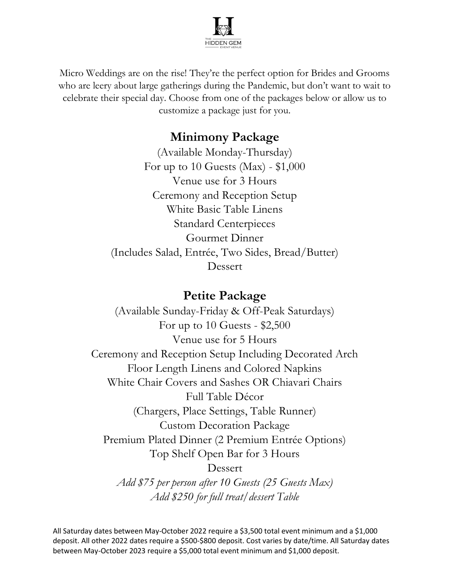

Micro Weddings are on the rise! They're the perfect option for Brides and Grooms who are leery about large gatherings during the Pandemic, but don't want to wait to celebrate their special day. Choose from one of the packages below or allow us to customize a package just for you.

## Minimony Package

(Available Monday-Thursday) For up to 10 Guests (Max) -  $$1,000$ Venue use for 3 Hours Ceremony and Reception Setup White Basic Table Linens Standard Centerpieces Gourmet Dinner (Includes Salad, Entrée, Two Sides, Bread/Butter) Dessert

## Petite Package

(Available Sunday-Friday & Off-Peak Saturdays) For up to 10 Guests - \$2,500 Venue use for 5 Hours Ceremony and Reception Setup Including Decorated Arch Floor Length Linens and Colored Napkins White Chair Covers and Sashes OR Chiavari Chairs Full Table Décor (Chargers, Place Settings, Table Runner) Custom Decoration Package Premium Plated Dinner (2 Premium Entrée Options) Top Shelf Open Bar for 3 Hours Dessert Add \$75 per person after 10 Guests (25 Guests Max)

All Saturday dates between May-October 2022 require a \$3,500 total event minimum and a \$1,000 deposit. All other 2022 dates require a \$500-\$800 deposit. Cost varies by date/time. All Saturday dates between May-October 2023 require a \$5,000 total event minimum and \$1,000 deposit.

Add \$250 for full treat/dessert Table